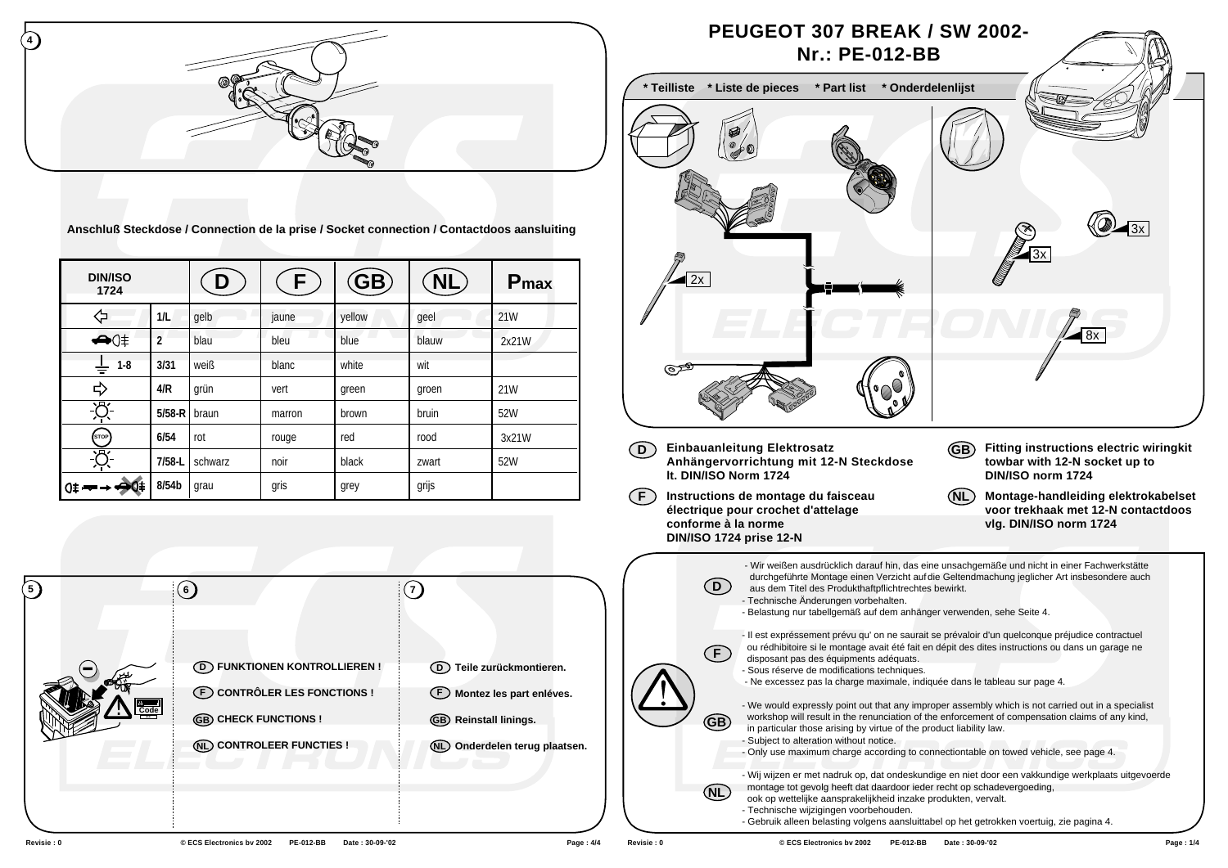

**Anschluß Steckdose / Connection de la prise / Socket connection / Contactdoos aansluiting**

| <b>DIN/ISO</b><br>1724 |                | $\mathbf{\Omega}$ | ۲.     | (GB)   | NL,   | P <sub>max</sub> |
|------------------------|----------------|-------------------|--------|--------|-------|------------------|
| ⇦                      | 1/L            | qelb              | jaune  | yellow | qeel  | 21W              |
|                        | $\overline{2}$ | blau              | bleu   | blue   | blauw | 2x21W            |
| $1-8$<br>÷             | 3/31           | weiß              | blanc  | white  | wit   |                  |
| ⇨                      | 4/R            | grün              | vert   | green  | groen | 21W              |
| Ķ                      | $5/58-R$       | braun             | marron | brown  | bruin | 52W              |
| (stop)                 | 6/54           | rot               | rouge  | red    | rood  | 3x21W            |
| 秀.                     | $7/58-L$       | schwarz           | noir   | black  | zwart | 52W              |
| 0≢ <del>—</del>        | 8/54b          | grau              | gris   | grey   | grijs |                  |

| 6                                                                                                       |                                                                                              |
|---------------------------------------------------------------------------------------------------------|----------------------------------------------------------------------------------------------|
| <b>D</b> FUNKTIONEN KONTROLLIEREN!<br><b>E</b> CONTRÔLER LES FONCTIONS !<br><b>GB) CHECK FUNCTIONS!</b> | (D) Teile zurückmontieren.<br>(F) Montez les part enléves.<br><b>GB</b> ) Reinstall linings. |
| (NL) CONTROLEER FUNCTIES !                                                                              | Onderdelen terug plaatsen.<br>(NL)                                                           |